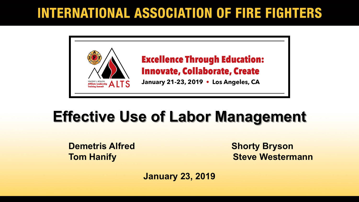#### **INTERNATIONAL ASSOCIATION OF FIRE FIGHTERS**



### **Effective Use of Labor Management**

**Demetris Alfred Shorty Bryson** 

**Tom Hanify <b>Steve Westermann** 

**January 23, 2019**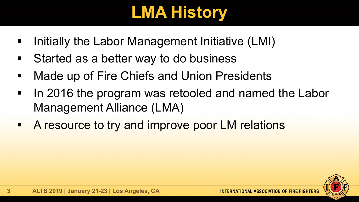# **LMA History**

- **If Initially the Labor Management Initiative (LMI)**
- **EXTER 19 Started as a better way to do business**
- **Made up of Fire Chiefs and Union Presidents**
- In 2016 the program was retooled and named the Labor Management Alliance (LMA)
- **A resource to try and improve poor LM relations**

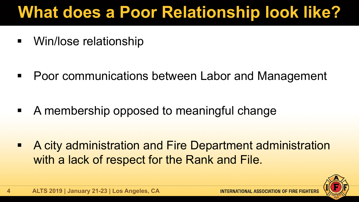# **What does a Poor Relationship look like?**

■ Win/lose relationship

**• Poor communications between Labor and Management** 

A membership opposed to meaningful change

 A city administration and Fire Department administration with a lack of respect for the Rank and File.

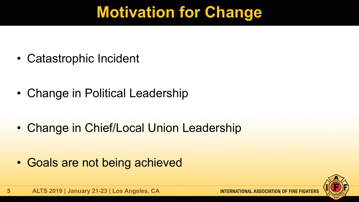## **Motivation for Change**

• Catastrophic Incident

• Change in Political Leadership

• Change in Chief/Local Union Leadership

• Goals are not being achieved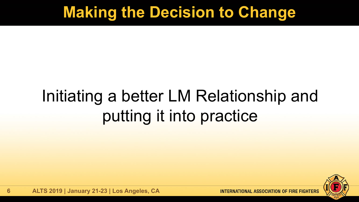#### **Making the Decision to Change**

# Initiating a better LM Relationship and putting it into practice

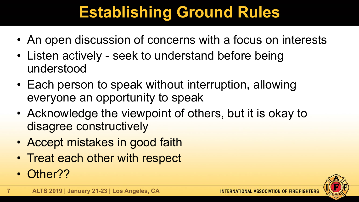## **Establishing Ground Rules**

- An open discussion of concerns with a focus on interests
- Listen actively seek to understand before being understood
- Each person to speak without interruption, allowing everyone an opportunity to speak
- Acknowledge the viewpoint of others, but it is okay to disagree constructively
- Accept mistakes in good faith
- Treat each other with respect
- Other??

**7**

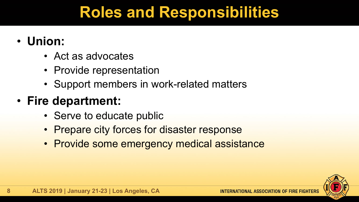### **Roles and Responsibilities**

- **Union:**
	- Act as advocates
	- Provide representation
	- Support members in work-related matters

#### • **Fire department:**

- Serve to educate public
- Prepare city forces for disaster response
- Provide some emergency medical assistance

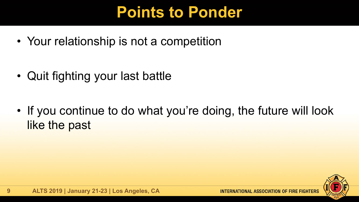### **Points to Ponder**

• Your relationship is not a competition

• Quit fighting your last battle

• If you continue to do what you're doing, the future will look like the past

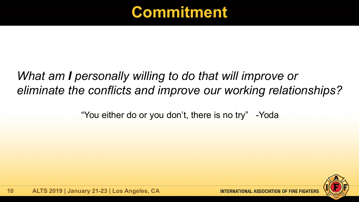

#### *What am I personally willing to do that will improve or eliminate the conflicts and improve our working relationships?*

"You either do or you don't, there is no try" -Yoda

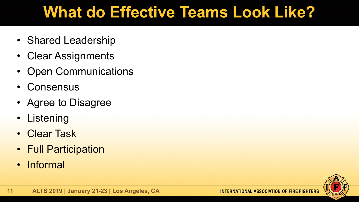## **What do Effective Teams Look Like?**

- Shared Leadership
- Clear Assignments
- Open Communications
- Consensus
- Agree to Disagree
- Listening
- Clear Task
- Full Participation
- Informal

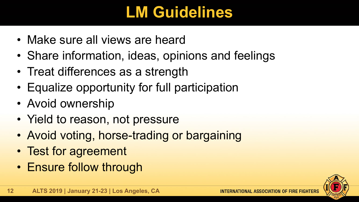## **LM Guidelines**

- Make sure all views are heard
- Share information, ideas, opinions and feelings
- Treat differences as a strength
- Equalize opportunity for full participation
- Avoid ownership
- Yield to reason, not pressure
- Avoid voting, horse-trading or bargaining
- Test for agreement
- Ensure follow through

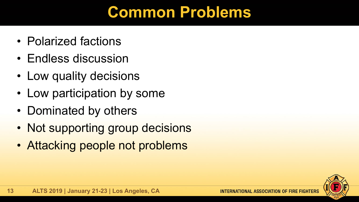#### **Common Problems**

- Polarized factions
- Endless discussion
- Low quality decisions
- Low participation by some
- Dominated by others
- Not supporting group decisions
- Attacking people not problems

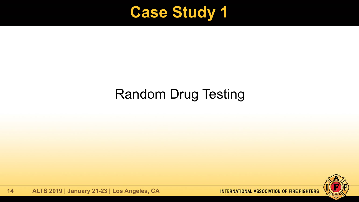

#### Random Drug Testing

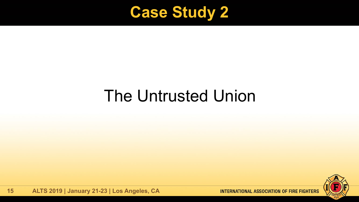

# The Untrusted Union

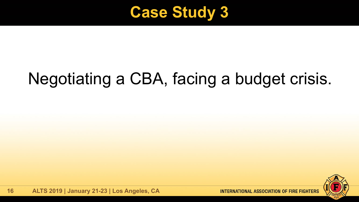

# Negotiating a CBA, facing a budget crisis.

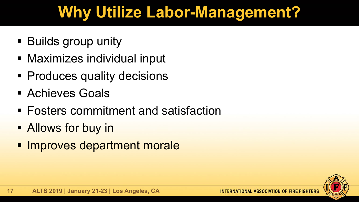## **Why Utilize Labor-Management?**

- **Builds group unity**
- Maximizes individual input
- **Produces quality decisions**
- **Example 26 Achieves Goals**
- Fosters commitment and satisfaction
- **Allows for buy in**
- **Improves department morale**

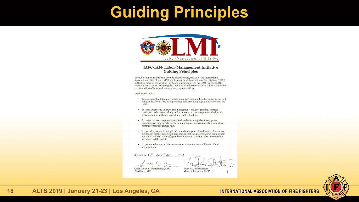#### **Guiding Principles**



#### **IAFC/IAFF Labor-Management Initiative Guiding Principles**

The following principles have been developed and agreed to by the International Association of Fire Chiefs (IAFC) and International Association of Fire Fighters (IAFF) in the true spirit of cooperation for the enhancement of the fire/EMS service and the communities it serves. We recognize that mutual adherence to these values requires the constant effort of labor and management representatives.

**Guiding Principles:** 

- To recognize that labor and management have a mutual goal of ensuring the wellbeing and safety of fire/EMS personnel and providing high quality service to the public.
- To work together to improve communications, enhance training, increase participative decision-making, and promote a labor-management relationship based upon mutual trust, respect, and understanding.
- To create labor-management partnerships by forming labor-management committees at appropriate levels, or adapting, as necessary, existing councils or committees if such groups exist.
- To provide systemic training to labor and management leaders on collaborative methods of dispute resolution, recognizing that this process allows management and union leaders to identify problems and craft solutions to better serve their members and the public.
- To promote these principles to our respective members at all levels of both organizations.

Signed this 13<sup>th</sup>  $day of$   $\frac{1}{4}$   $\frac{1}{4}$   $\frac{1}{4}$   $\frac{1}{4}$   $\frac{1}{4}$   $\frac{1}{4}$   $\frac{1}{4}$   $\frac{1}{4}$   $\frac{1}{4}$   $\frac{1}{4}$   $\frac{1}{4}$   $\frac{1}{4}$   $\frac{1}{4}$   $\frac{1}{4}$   $\frac{1}{4}$   $\frac{1}{4}$   $\frac{1}{4}$   $\frac{1}{4}$   $\frac{1}{4}$   $\frac{1}{4}$   $\frac{1}{4}$   $\frac{1}{$ 

Chief Steven P. Westermann, CFO President, IAFC

se Harold A. Schaitberger General President, IAFF



#### **18 ALTS 2019 | January 21-23 | Los Angeles, CA**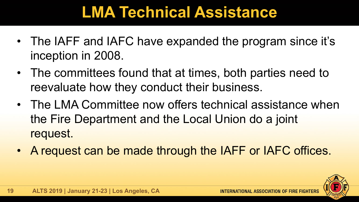### **LMA Technical Assistance**

- The IAFF and IAFC have expanded the program since it's inception in 2008.
- The committees found that at times, both parties need to reevaluate how they conduct their business.
- The LMA Committee now offers technical assistance when the Fire Department and the Local Union do a joint request.
- A request can be made through the IAFF or IAFC offices.

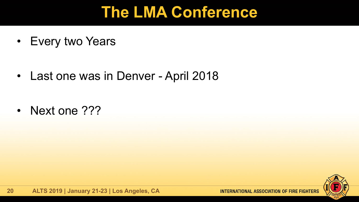#### **The LMA Conference**

• Every two Years

• Last one was in Denver - April 2018

• Next one ???